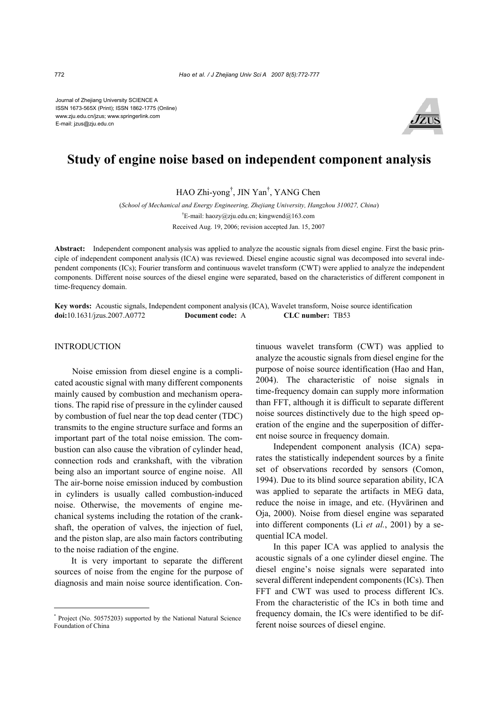Journal of Zhejiang University SCIENCE A ISSN 1673-565X (Print); ISSN 1862-1775 (Online) www.zju.edu.cn/jzus; www.springerlink.com E-mail: jzus@zju.edu.cn



# **Study of engine noise based on independent component analysis**

HAO Zhi-yong† , JIN Yan† , YANG Chen

(*School of Mechanical and Energy Engineering, Zhejiang University, Hangzhou 310027, China*) † E-mail: haozy@zju.edu.cn; kingwend@163.com Received Aug. 19, 2006; revision accepted Jan. 15, 2007

**Abstract:** Independent component analysis was applied to analyze the acoustic signals from diesel engine. First the basic principle of independent component analysis (ICA) was reviewed. Diesel engine acoustic signal was decomposed into several independent components (ICs); Fourier transform and continuous wavelet transform (CWT) were applied to analyze the independent components. Different noise sources of the diesel engine were separated, based on the characteristics of different component in time-frequency domain.

**Key words:** Acoustic signals, Independent component analysis (ICA), Wavelet transform, Noise source identification **doi:**10.1631/jzus.2007.A0772 **Document code:** A **CLC number:** TB53

## INTRODUCTION

Noise emission from diesel engine is a complicated acoustic signal with many different components mainly caused by combustion and mechanism operations. The rapid rise of pressure in the cylinder caused by combustion of fuel near the top dead center (TDC) transmits to the engine structure surface and forms an important part of the total noise emission. The combustion can also cause the vibration of cylinder head, connection rods and crankshaft, with the vibration being also an important source of engine noise. All The air-borne noise emission induced by combustion in cylinders is usually called combustion-induced noise. Otherwise, the movements of engine mechanical systems including the rotation of the crankshaft, the operation of valves, the injection of fuel, and the piston slap, are also main factors contributing to the noise radiation of the engine.

It is very important to separate the different sources of noise from the engine for the purpose of diagnosis and main noise source identification. Continuous wavelet transform (CWT) was applied to analyze the acoustic signals from diesel engine for the purpose of noise source identification (Hao and Han, 2004). The characteristic of noise signals in time-frequency domain can supply more information than FFT, although it is difficult to separate different noise sources distinctively due to the high speed operation of the engine and the superposition of different noise source in frequency domain.

Independent component analysis (ICA) separates the statistically independent sources by a finite set of observations recorded by sensors (Comon, 1994). Due to its blind source separation ability, ICA was applied to separate the artifacts in MEG data, reduce the noise in image, and etc. (Hyvärinen and Oja, 2000). Noise from diesel engine was separated into different components (Li *et al.*, 2001) by a sequential ICA model.

In this paper ICA was applied to analysis the acoustic signals of a one cylinder diesel engine. The diesel engine's noise signals were separated into several different independent components (ICs). Then FFT and CWT was used to process different ICs. From the characteristic of the ICs in both time and frequency domain, the ICs were identified to be different noise sources of diesel engine.

<sup>\*</sup> Project (No. 50575203) supported by the National Natural Science Foundation of China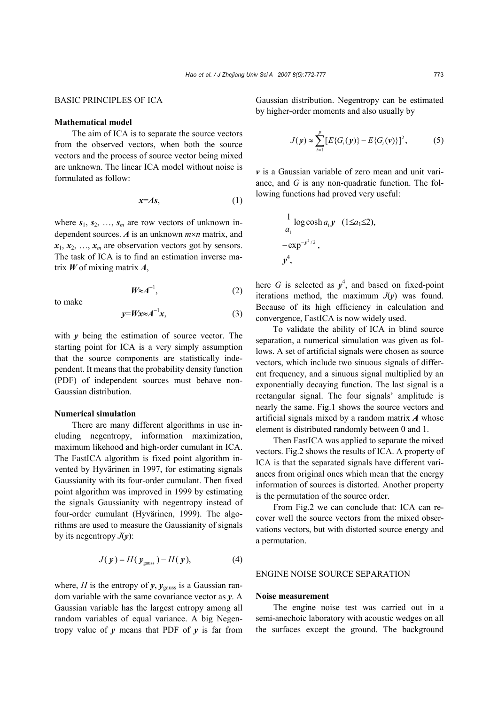# BASIC PRINCIPLES OF ICA

## **Mathematical model**

The aim of ICA is to separate the source vectors from the observed vectors, when both the source vectors and the process of source vector being mixed are unknown. The linear ICA model without noise is formulated as follow:

$$
x = As,\t(1)
$$

where  $s_1, s_2, \ldots, s_m$  are row vectors of unknown independent sources. *A* is an unknown *m*×*n* matrix, and  $x_1, x_2, \ldots, x_m$  are observation vectors got by sensors. The task of ICA is to find an estimation inverse matrix *W* of mixing matrix *A*,

$$
W \approx A^{-1}, \tag{2}
$$

$$
y = Wx \approx A^{-1}x,\tag{3}
$$

with  $\nu$  being the estimation of source vector. The starting point for ICA is a very simply assumption that the source components are statistically independent. It means that the probability density function (PDF) of independent sources must behave non-Gaussian distribution.

#### **Numerical simulation**

to make

There are many different algorithms in use including negentropy, information maximization, maximum likehood and high-order cumulant in ICA. The FastICA algorithm is fixed point algorithm invented by Hyvärinen in 1997, for estimating signals Gaussianity with its four-order cumulant. Then fixed point algorithm was improved in 1999 by estimating the signals Gaussianity with negentropy instead of four-order cumulant (Hyvärinen, 1999). The algorithms are used to measure the Gaussianity of signals by its negentropy  $J(\mathbf{v})$ :

$$
J(\mathbf{y}) = H(\mathbf{y}_{\text{gauss}}) - H(\mathbf{y}),\tag{4}
$$

where, *H* is the entropy of  $y$ ,  $y_{\text{gauss}}$  is a Gaussian random variable with the same covariance vector as *y*. A Gaussian variable has the largest entropy among all random variables of equal variance. A big Negentropy value of  $\nu$  means that PDF of  $\nu$  is far from Gaussian distribution. Negentropy can be estimated by higher-order moments and also usually by

$$
J(\mathbf{y}) \approx \sum_{i=1}^{p} [E\{G_i(\mathbf{y})\} - E\{G_i(\mathbf{v})\}]^2, \tag{5}
$$

*v* is a Gaussian variable of zero mean and unit variance, and *G* is any non-quadratic function. The following functions had proved very useful:

$$
\frac{1}{a_1} \log \cosh a_1 y \quad (1 \le a_1 \le 2),
$$
  
-exp<sup>-y<sup>2</sup>/2</sup>,  
 $y^4$ ,

here *G* is selected as  $y^4$ , and based on fixed-point iterations method, the maximum *J*(*y*) was found. Because of its high efficiency in calculation and convergence, FastICA is now widely used.

To validate the ability of ICA in blind source separation, a numerical simulation was given as follows. A set of artificial signals were chosen as source vectors, which include two sinuous signals of different frequency, and a sinuous signal multiplied by an exponentially decaying function. The last signal is a rectangular signal. The four signals' amplitude is nearly the same. Fig.1 shows the source vectors and artificial signals mixed by a random matrix *A* whose element is distributed randomly between 0 and 1.

Then FastICA was applied to separate the mixed vectors. Fig.2 shows the results of ICA. A property of ICA is that the separated signals have different variances from original ones which mean that the energy information of sources is distorted. Another property is the permutation of the source order.

From Fig.2 we can conclude that: ICA can recover well the source vectors from the mixed observations vectors, but with distorted source energy and a permutation.

# ENGINE NOISE SOURCE SEPARATION

#### **Noise measurement**

The engine noise test was carried out in a semi-anechoic laboratory with acoustic wedges on all the surfaces except the ground. The background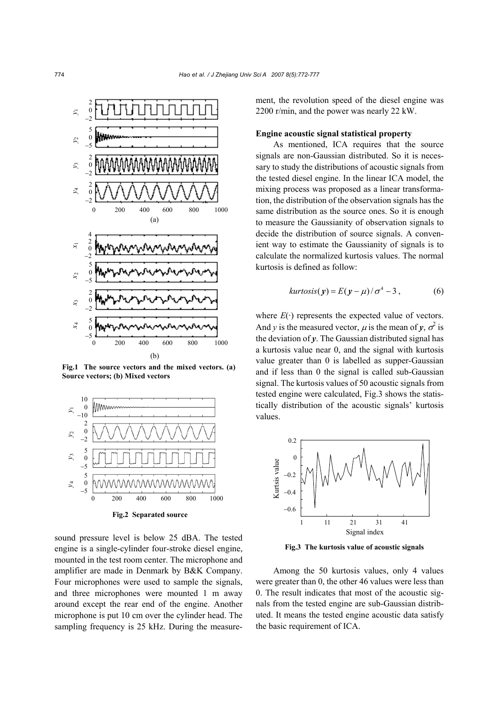

**Fig.1 The source vectors and the mixed vectors. (a) Source vectors; (b) Mixed vectors**



sound pressure level is below 25 dBA. The tested engine is a single-cylinder four-stroke diesel engine, mounted in the test room center. The microphone and amplifier are made in Denmark by B&K Company. Four microphones were used to sample the signals, and three microphones were mounted 1 m away around except the rear end of the engine. Another microphone is put 10 cm over the cylinder head. The sampling frequency is 25 kHz. During the measurement, the revolution speed of the diesel engine was 2200 r/min, and the power was nearly 22 kW.

## **Engine acoustic signal statistical property**

As mentioned, ICA requires that the source signals are non-Gaussian distributed. So it is necessary to study the distributions of acoustic signals from the tested diesel engine. In the linear ICA model, the mixing process was proposed as a linear transformation, the distribution of the observation signals has the same distribution as the source ones. So it is enough to measure the Gaussianity of observation signals to decide the distribution of source signals. A convenient way to estimate the Gaussianity of signals is to calculate the normalized kurtosis values. The normal kurtosis is defined as follow:

$$
kurtosis(y) = E(y - \mu)/\sigma^4 - 3, \qquad (6)
$$

where  $E(\cdot)$  represents the expected value of vectors. And *y* is the measured vector,  $\mu$  is the mean of  $y$ ,  $\sigma^2$  is the deviation of *y*. The Gaussian distributed signal has a kurtosis value near 0, and the signal with kurtosis value greater than 0 is labelled as supper-Gaussian and if less than 0 the signal is called sub-Gaussian signal. The kurtosis values of 50 acoustic signals from tested engine were calculated, Fig.3 shows the statistically distribution of the acoustic signals' kurtosis values.



**Fig.3 The kurtosis value of acoustic signals**

Among the 50 kurtosis values, only 4 values were greater than 0, the other 46 values were less than 0. The result indicates that most of the acoustic signals from the tested engine are sub-Gaussian distributed. It means the tested engine acoustic data satisfy the basic requirement of ICA.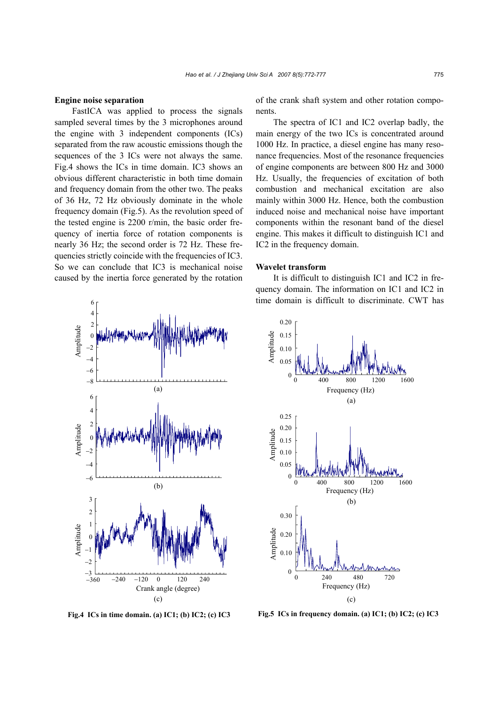#### **Engine noise separation**

FastICA was applied to process the signals sampled several times by the 3 microphones around the engine with 3 independent components (ICs) separated from the raw acoustic emissions though the sequences of the 3 ICs were not always the same. Fig.4 shows the ICs in time domain. IC3 shows an obvious different characteristic in both time domain and frequency domain from the other two. The peaks of 36 Hz, 72 Hz obviously dominate in the whole frequency domain (Fig.5). As the revolution speed of the tested engine is 2200 r/min, the basic order frequency of inertia force of rotation components is nearly 36 Hz; the second order is 72 Hz. These frequencies strictly coincide with the frequencies of IC3. So we can conclude that IC3 is mechanical noise caused by the inertia force generated by the rotation

−6 −4 −2  $\boldsymbol{0}$ 2 4 6 Amplitude −3 −2 −1 0 1 2 3 −360 Crank angle (degree) Amplitude −240 −120 0 120 240 −6 −4 −2 0 2 4 6 Amplitude −8 (a) (b) (c)

**Fig.4 ICs in time domain. (a) IC1; (b) IC2; (c) IC3**

of the crank shaft system and other rotation components.

The spectra of IC1 and IC2 overlap badly, the main energy of the two ICs is concentrated around 1000 Hz. In practice, a diesel engine has many resonance frequencies. Most of the resonance frequencies of engine components are between 800 Hz and 3000 Hz. Usually, the frequencies of excitation of both combustion and mechanical excitation are also mainly within 3000 Hz. Hence, both the combustion induced noise and mechanical noise have important components within the resonant band of the diesel engine. This makes it difficult to distinguish IC1 and IC2 in the frequency domain.

#### **Wavelet transform**

It is difficult to distinguish IC1 and IC2 in frequency domain. The information on IC1 and IC2 in time domain is difficult to discriminate. CWT has



**Fig.5 ICs in frequency domain. (a) IC1; (b) IC2; (c) IC3**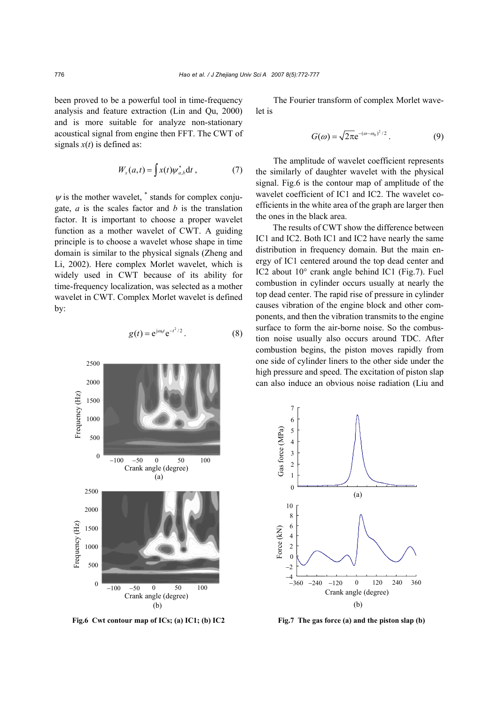been proved to be a powerful tool in time-frequency analysis and feature extraction (Lin and Qu, 2000) and is more suitable for analyze non-stationary acoustical signal from engine then FFT. The CWT of signals  $x(t)$  is defined as:

$$
W_x(a,t) = \int x(t) \psi_{a,b}^* dt , \qquad (7)
$$

 $\psi$  is the mother wavelet,  $*$  stands for complex conjugate, *a* is the scales factor and *b* is the translation factor. It is important to choose a proper wavelet function as a mother wavelet of CWT. A guiding principle is to choose a wavelet whose shape in time domain is similar to the physical signals (Zheng and Li, 2002). Here complex Morlet wavelet, which is widely used in CWT because of its ability for time-frequency localization, was selected as a mother wavelet in CWT. Complex Morlet wavelet is defined by:

$$
g(t) = e^{j\omega_0 t} e^{-t^2/2}.
$$
 (8)

The Fourier transform of complex Morlet wavelet is

$$
G(\omega) = \sqrt{2\pi} e^{-(\omega - \omega_0)^2/2} \,. \tag{9}
$$

The amplitude of wavelet coefficient represents the similarly of daughter wavelet with the physical signal. Fig.6 is the contour map of amplitude of the wavelet coefficient of IC1 and IC2. The wavelet coefficients in the white area of the graph are larger then the ones in the black area.

The results of CWT show the difference between IC1 and IC2. Both IC1 and IC2 have nearly the same distribution in frequency domain. But the main energy of IC1 centered around the top dead center and IC2 about 10° crank angle behind IC1 (Fig.7). Fuel combustion in cylinder occurs usually at nearly the top dead center. The rapid rise of pressure in cylinder causes vibration of the engine block and other components, and then the vibration transmits to the engine surface to form the air-borne noise. So the combustion noise usually also occurs around TDC. After combustion begins, the piston moves rapidly from one side of cylinder liners to the other side under the high pressure and speed. The excitation of piston slap can also induce an obvious noise radiation (Liu and



**Fig.6 Cwt contour map of ICs; (a) IC1; (b) IC2**



**Fig.7 The gas force (a) and the piston slap (b)**